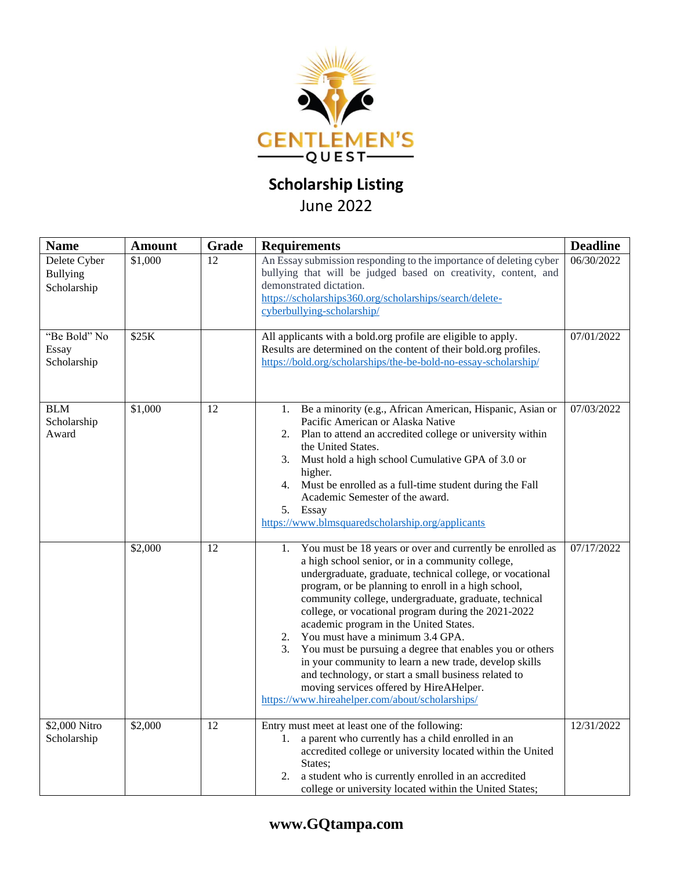

## **Scholarship Listing**

## June 2022

| <b>Name</b>                                    | <b>Amount</b> | Grade | <b>Requirements</b>                                                                                                                                                                                                                                                                                                                                                                                                                                                                                                                                                                                                                                                                                                           | <b>Deadline</b> |
|------------------------------------------------|---------------|-------|-------------------------------------------------------------------------------------------------------------------------------------------------------------------------------------------------------------------------------------------------------------------------------------------------------------------------------------------------------------------------------------------------------------------------------------------------------------------------------------------------------------------------------------------------------------------------------------------------------------------------------------------------------------------------------------------------------------------------------|-----------------|
| Delete Cyber<br><b>Bullying</b><br>Scholarship | \$1,000       | 12    | An Essay submission responding to the importance of deleting cyber<br>bullying that will be judged based on creativity, content, and<br>demonstrated dictation.<br>https://scholarships360.org/scholarships/search/delete-<br>cyberbullying-scholarship/                                                                                                                                                                                                                                                                                                                                                                                                                                                                      | 06/30/2022      |
| "Be Bold" No<br>Essay<br>Scholarship           | \$25K         |       | All applicants with a bold.org profile are eligible to apply.<br>Results are determined on the content of their bold.org profiles.<br>https://bold.org/scholarships/the-be-bold-no-essay-scholarship/                                                                                                                                                                                                                                                                                                                                                                                                                                                                                                                         | 07/01/2022      |
| <b>BLM</b><br>Scholarship<br>Award             | \$1,000       | 12    | Be a minority (e.g., African American, Hispanic, Asian or<br>1.<br>Pacific American or Alaska Native<br>Plan to attend an accredited college or university within<br>2.<br>the United States.<br>Must hold a high school Cumulative GPA of 3.0 or<br>3.<br>higher.<br>Must be enrolled as a full-time student during the Fall<br>4.<br>Academic Semester of the award.<br>5.<br>Essay<br>https://www.blmsquaredscholarship.org/applicants                                                                                                                                                                                                                                                                                     | 07/03/2022      |
|                                                | \$2,000       | 12    | You must be 18 years or over and currently be enrolled as<br>1.<br>a high school senior, or in a community college,<br>undergraduate, graduate, technical college, or vocational<br>program, or be planning to enroll in a high school,<br>community college, undergraduate, graduate, technical<br>college, or vocational program during the 2021-2022<br>academic program in the United States.<br>2.<br>You must have a minimum 3.4 GPA.<br>3.<br>You must be pursuing a degree that enables you or others<br>in your community to learn a new trade, develop skills<br>and technology, or start a small business related to<br>moving services offered by HireAHelper.<br>https://www.hireahelper.com/about/scholarships/ | 07/17/2022      |
| \$2,000 Nitro<br>Scholarship                   | \$2,000       | 12    | Entry must meet at least one of the following:<br>a parent who currently has a child enrolled in an<br>1.<br>accredited college or university located within the United<br>States;<br>a student who is currently enrolled in an accredited<br>2.<br>college or university located within the United States;                                                                                                                                                                                                                                                                                                                                                                                                                   | 12/31/2022      |

## **www.GQtampa.com**